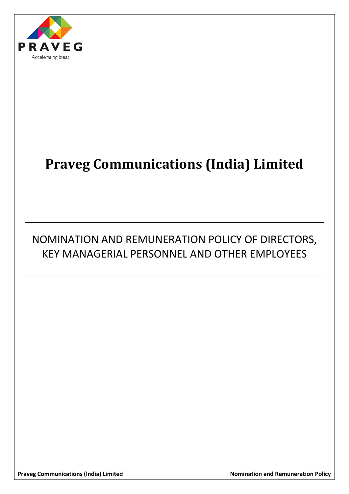

# **Praveg Communications (India) Limited**

# NOMINATION AND REMUNERATION POLICY OF DIRECTORS, KEY MANAGERIAL PERSONNEL AND OTHER EMPLOYEES

**Praveg Communications (India) Limited Communication 2018** Nomination and Remuneration Policy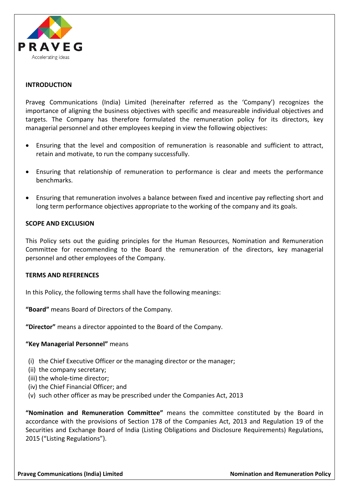

# **INTRODUCTION**

Praveg Communications (India) Limited (hereinafter referred as the 'Company') recognizes the importance of aligning the business objectives with specific and measureable individual objectives and targets. The Company has therefore formulated the remuneration policy for its directors, key managerial personnel and other employees keeping in view the following objectives:

- Ensuring that the level and composition of remuneration is reasonable and sufficient to attract, retain and motivate, to run the company successfully.
- Ensuring that relationship of remuneration to performance is clear and meets the performance benchmarks.
- Ensuring that remuneration involves a balance between fixed and incentive pay reflecting short and long term performance objectives appropriate to the working of the company and its goals.

#### **SCOPE AND EXCLUSION**

This Policy sets out the guiding principles for the Human Resources, Nomination and Remuneration Committee for recommending to the Board the remuneration of the directors, key managerial personnel and other employees of the Company.

#### **TERMS AND REFERENCES**

In this Policy, the following terms shall have the following meanings:

**"Board"** means Board of Directors of the Company.

**"Director"** means a director appointed to the Board of the Company.

#### **"Key Managerial Personnel"** means

- (i) the Chief Executive Officer or the managing director or the manager;
- (ii) the company secretary;
- (iii) the whole-time director;
- (iv) the Chief Financial Officer; and
- (v) such other officer as may be prescribed under the Companies Act, 2013

**"Nomination and Remuneration Committee"** means the committee constituted by the Board in accordance with the provisions of Section 178 of the Companies Act, 2013 and Regulation 19 of the Securities and Exchange Board of India (Listing Obligations and Disclosure Requirements) Regulations, 2015 ("Listing Regulations").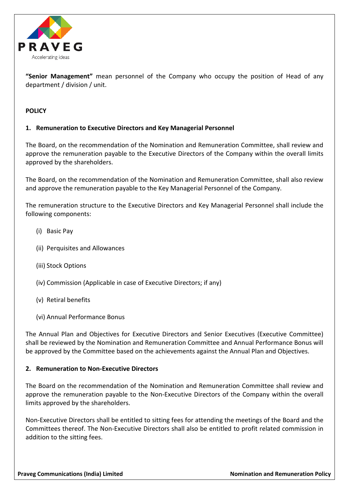

**"Senior Management"** mean personnel of the Company who occupy the position of Head of any department / division / unit.

# **POLICY**

# **1. Remuneration to Executive Directors and Key Managerial Personnel**

The Board, on the recommendation of the Nomination and Remuneration Committee, shall review and approve the remuneration payable to the Executive Directors of the Company within the overall limits approved by the shareholders.

The Board, on the recommendation of the Nomination and Remuneration Committee, shall also review and approve the remuneration payable to the Key Managerial Personnel of the Company.

The remuneration structure to the Executive Directors and Key Managerial Personnel shall include the following components:

- (i) Basic Pay
- (ii) Perquisites and Allowances
- (iii) Stock Options
- (iv) Commission (Applicable in case of Executive Directors; if any)
- (v) Retiral benefits
- (vi) Annual Performance Bonus

The Annual Plan and Objectives for Executive Directors and Senior Executives (Executive Committee) shall be reviewed by the Nomination and Remuneration Committee and Annual Performance Bonus will be approved by the Committee based on the achievements against the Annual Plan and Objectives.

### **2. Remuneration to Non-Executive Directors**

The Board on the recommendation of the Nomination and Remuneration Committee shall review and approve the remuneration payable to the Non-Executive Directors of the Company within the overall limits approved by the shareholders.

Non-Executive Directors shall be entitled to sitting fees for attending the meetings of the Board and the Committees thereof. The Non-Executive Directors shall also be entitled to profit related commission in addition to the sitting fees.